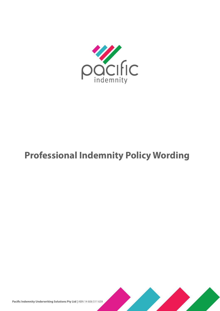

# **Professional Indemnity Policy Wording**

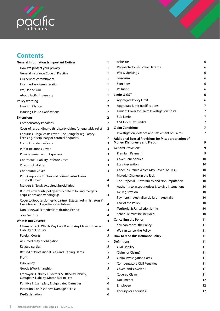

# **Contents**

| <b>General Information &amp; Important Notices</b>                                                         | 1 |
|------------------------------------------------------------------------------------------------------------|---|
| How We protect your privacy                                                                                | 1 |
| <b>General Insurance Code of Practice</b>                                                                  | 1 |
| Our service commitment                                                                                     | 1 |
| Intermediary Remuneration                                                                                  | 1 |
| We, Us and Our                                                                                             | 1 |
| About Pacific Indemnity                                                                                    | 1 |
| Policy wording                                                                                             | 2 |
| <b>Insuring Clauses</b>                                                                                    | 2 |
| Insuring Clause clarifications                                                                             | 2 |
| <b>Extensions</b>                                                                                          | 2 |
| <b>Compensatory Penalties</b>                                                                              | 2 |
| Costs of responding to third party claims for equitable relief                                             | 2 |
| Enquiries – legal costs cover – including for regulatory,<br>licensing, disciplinary or coronial enquiries | 2 |
| <b>Court Attendance Costs</b>                                                                              | 3 |
| <b>Public Relations Cover</b>                                                                              | 3 |
| <b>Privacy Remediation Expenses</b>                                                                        | 3 |
| <b>Contractual Liability Defence Costs</b>                                                                 | 3 |
| <b>Vicarious Liability</b>                                                                                 | 3 |
| <b>Continuous Cover</b>                                                                                    | 3 |
| <b>Prior Corporate Entities and Former Subsidiaries</b><br>- Run-off Cover                                 | 4 |
| Mergers & Newly Acquired Subsidiaries                                                                      | 4 |
| Run-off cover until policy expiry date following mergers,<br>acquisitions and winding up                   | 4 |
| Cover to Spouse, domestic partner, Estates, Administrators &<br><b>Executors and Legal Representatives</b> | 4 |
| Non-Renewal Extended Notification Period                                                                   | 4 |
| Joint Venture                                                                                              | 4 |
| What is not Covered                                                                                        | 4 |
| Claims or Facts Which May Give Rise To Any Claim or Loss or<br>Liability or Enquiry                        | 4 |
| <b>Foreign Courts</b>                                                                                      | 5 |
| Assumed duty or obligation                                                                                 | 5 |
| <b>Related parties</b>                                                                                     | 5 |
| Refund of Professional Fees and Trading Debts                                                              | 5 |
| Profit                                                                                                     | 5 |
| Insolvency                                                                                                 | 5 |
| Goods & Workmanship                                                                                        | 5 |
| Employers Liability, Directors' & Officers' Liability,<br>Occupier's Liability, Motor, Marine, etc         | 5 |
| Punitive & Exemplary & Liquidated Damages                                                                  | 6 |
| Intentional or Dishonest Damage or Loss                                                                    | 6 |
| De-Registration                                                                                            | 6 |

| Asbestos                                                                                    | 6  |
|---------------------------------------------------------------------------------------------|----|
| Radioactivity & Nuclear Hazards                                                             | 6  |
| War & Uprisings                                                                             | 6  |
| Terrorism                                                                                   | 6  |
| Sanctions                                                                                   | 6  |
| Pollution                                                                                   | 6  |
| Limits & GST                                                                                | 6  |
| Aggregate Policy Limit                                                                      | 6  |
| Aggregate Limit qualifications                                                              | 7  |
| Limit of Cover for Claim Investigation Costs                                                | 7  |
| Sub Limits                                                                                  | 7  |
| <b>GST Input Tax Credits</b>                                                                | 7  |
| <b>Claim Conditions</b>                                                                     | 7  |
| Investigation, defence and settlement of Claims                                             | 7  |
| <b>Additional Special Provisions for Misappropriation of</b><br>Money, Dishonesty and Fraud | 9  |
| <b>General Provisions</b>                                                                   | 9  |
| Premium Payment                                                                             | 9  |
| <b>Cover Beneficiaries</b>                                                                  | 10 |
| Loss Prevention                                                                             | 10 |
| Other Insurance Which May Cover The Risk                                                    | 10 |
| Material Change in the Risk                                                                 | 10 |
| The Proposal - Severability and Non-imputation                                              | 10 |
| Authority to accept notices & to give instructions                                          | 10 |
| De-registration                                                                             | 10 |
| Payment in Australian dollars in Australia                                                  | 10 |
| Law of the Policy                                                                           | 10 |
| Territorial & Jurisdiction Limits                                                           | 10 |
| Schedule must be included                                                                   | 10 |
| <b>Cancelling the Policy</b>                                                                | 11 |
| You can cancel the Policy                                                                   | 11 |
| We can cancel the Policy                                                                    | 11 |
| How to read this Insurance Policy                                                           | 11 |
| <b>Definitions</b>                                                                          | 11 |
| Civil Liability                                                                             | 11 |
| Claim (or Claims)                                                                           | 11 |
| <b>Claim Investigation Costs</b>                                                            | 11 |
| <b>Compensatory Civil Penalties</b>                                                         | 11 |
| Cover (and 'Covered')                                                                       | 11 |
| <b>Covered Claim</b>                                                                        | 11 |
| Documents                                                                                   | 12 |
| Employee                                                                                    | 12 |

[Enquiry \(or Enquiries\)](#page-14-0) 12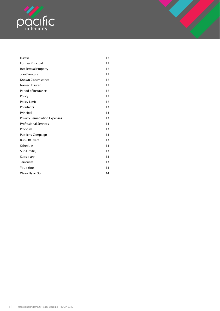

| <b>Excess</b>                       | 12 |
|-------------------------------------|----|
| Former Principal                    | 12 |
| Intellectual Property               | 12 |
| Joint Venture                       | 12 |
| <b>Known Circumstance</b>           | 12 |
| Named Insured                       | 12 |
| Period of Insurance                 | 12 |
| Policy                              | 12 |
| Policy Limit                        | 12 |
| Pollutants                          | 13 |
| Principal                           | 13 |
| <b>Privacy Remediation Expenses</b> | 13 |
| <b>Professional Services</b>        | 13 |
| Proposal                            | 13 |
| <b>Publicity Campaign</b>           | 13 |
| Run-Off Event                       | 13 |
| Schedule                            | 13 |
| Sub Limit(s)                        | 13 |
| Subsidiary                          | 13 |
| Terrorism                           | 13 |
| You / Your                          | 13 |
| We or Us or Our                     | 14 |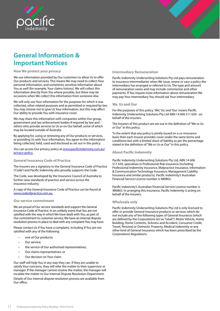<span id="page-3-0"></span>

# **General Information & Important Notices**

#### **How We protect your privacy**

We use information provided by Our customers to allow Us to offer Our products and services. This means We may need to collect Your personal information, and sometimes sensitive information about You as well (for example, Your claims history). We will collect this information directly from You where possible, but there may be occasions when We collect this information from someone else.

We will only use Your information for the purposes for which it was collected, other related purposes and as permitted or required by law. You may choose not to give Us Your information, but this may affect Our ability to provide You with insurance cover.

We may share this information with companies within Our group, government and law enforcement bodies if required by law and others who provide services to Us or on Our behalf, some of which may be located outside of Australia.

By applying for, using or renewing any of Our products or services, or providing Us with Your information, You agree to this information being collected, held, used and disclosed as set out in this policy.

You can access Our privacy policy at www.pacificindemnity.com.au/ privacy-policy.

#### **General Insurance Code of Practice**

The Insurers are a signatory to the General Insurance Code of Practice ('Code') and Pacific Indemnity also proudly supports the Code.

The Code, was developed by the Insurance Council of Australia to further raise standards of practice and service across the insurance industry.

A copy of the General Insurance Code of Practice can be found at www.codeofpractice.com.au.

#### **Our service commitment**

We are proud of Our service standards and support the General Insurance Code of Practice. In an unlikely event that You are not satisfied with the way in which We have dealt with You, as part of Our commitment to customer service, We have an internal dispute resolution process in place to deal with any complaint You may have.

Please contact Us if You have a complaint, including if You are not satisfied with any of the following:

- one of Our products;
- Our service;
- the service of Our authorised representatives;
- Our claims representatives; or
- Our decision on Your claim.

Our staff will help You in any way they can. If they are unable to satisfy Your concerns, they will refer the matter to their supervisor or manager. If the manager cannot resolve the matter, the manager will escalate the matter to Our Internal Dispute Resolution Department.

Details of Our internal dispute resolution process are available from Our office.

#### **Intermediary Remuneration**

Pacific Indemnity Underwriting Solutions Pty Ltd pays remuneration to insurance intermediaries when We issue, renew or vary a policy the intermediary has arranged or referred to Us. The type and amount of remuneration varies and may include commission and other payments. If You require more information about remuneration We may pay Your intermediary You should ask Your intermediary.

#### **We**, **Us and Our**

For the purposes of this policy, 'We', 'Us', and 'Our' means Pacific Indemnity Underwriting Solutions Pty Ltd ABN 14 606 511 639 - on behalf of the Insurers.

The Insurers of this product are set out in the definition of "We or Us or Our" in this policy.

To the extent that any policy is jointly issued on a co-insurance basis then each Insurer provides cover under the same terms and conditions but with a limited share of liability as per the percentage stated in the definition of "We or Us or Our" in this policy.

#### **About Pacific Indemnity**

Pacific Indemnity Underwriting Solutions Pty Ltd, ABN 14 606 511 639, specialises in Professional Risk insurance (including Professional Indemnity Insurance, Malpractice Insurance, Information & Communication Technology Insurance, Management Liability Insurance and similar products). Pacific Indemnity's Australian Financial Service Licence number is 480863.

Pacific Indemnity's Australian Financial Service Licence number is 480863. In arranging this insurance, Pacific Indemnity is acting on behalf of the Insurers.

#### **Wholesale only**

Pacific Indemnity Underwriting Solutions Pty Ltd is only licensed to offer or provide General Insurance products or services which do not include any of the following types of General Insurance (which are defined by the Corporations Act as "retail"): Motor Vehicle, Home Building, Home Contents, Sickness and Accident, Consumer Credit, Travel, Personal or Domestic Property, Medical Indemnity or any other kind of General Insurance which has been prescribed by the Corporations Regulations.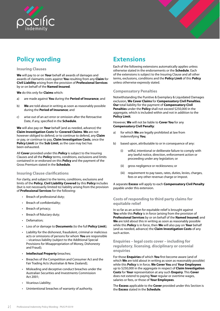<span id="page-4-0"></span>



# **Policy wording**

#### **Insuring Clauses**

**We** will pay to or on **Your** behalf all awards of damages and awards of claimants costs against **You** resulting from any **Claim** for **Civil Liability** arising from the provision of **Professional Services** by or on behalf of the **Named Insured**.

**We** do this only for **Claims** which:

- a) are made against **You** during the **Period of Insurance**; and
- b) **We** are told about in writing as soon as reasonably possible during the **Period of Insurance**; and
- c) arise out of an act error or omission after the Retroactive Date, if any, specified in the **Schedule**.

**We** will also pay on **Your** behalf (and as needed, advance) the **Claim Investigation Costs** for **Covered Claims**. **We** are not however obliged to defend, or to continue to defend, any **Claim**  or pay, or continue to pay, **Claim Investigation Costs**, once the **Policy Limit** (or the **Sub Limit**, as the case may be) has been exhausted.

All **Cover** provided under this **Policy** is subject to the Insuring Clauses and all the **Policy** terms, conditions, exclusions and limits contained in or endorsed on this **Policy** and the payment of the Gross Premium stated in the **Schedule**.

# **Insuring Clause clarifications**

For clarity, and subject to the terms, conditions, exclusions and limits of the **Policy**, **Civil Liability Covered** by this **Policy** includes (but is not necessarily limited to) liability arising from the provision of **Professional Services** for the following:

- Breach of professional duty;
- Breach of confidentiality;
- Breach of privacy;
- Breach of fiduciary duty;
- Defamation;
- Loss of or damage to **Documents** (to the full **Policy Limit**);
- Liability for the dishonest, fraudulent, criminal or malicious acts or omissions of persons for whom **You** are responsible – vicarious liability (subject to the Additional Special Provisions for Misappropriation of Money, Dishonesty and Fraud);
- **Intellectual Property** breaches;
- Breaches of the Competition and Consumer Act and the Fair Trading Acts (Australian & New Zealand);
- Misleading and deceptive conduct breaches under the Australian Securities and Investments Commission Act 2001;
- Vicarious Liability;
- Unintentional breaches of warranty of authority.

# **Extensions**

Each of the following extensions automatically applies unless otherwise stated in the endorsements or the **Schedule**. Each of the extensions is subject to the Insuring Clause and all other terms, exclusions, conditions and the **Policy Limit** of this **Policy**  unless otherwise expressly stated.

# **Compensatory Penalties**

Notwithstanding the Punitive & Exemplary & Liquidated Damages exclusion, **We Cover Claims** for **Compensatory Civil Penalties**. **Our** total liability for the payment of **Compensatory Civil Penalties** under the **Policy** shall not exceed \$250,000 in the aggregate, which is included within and not in addition to the **Policy Limit**.

However, **We** will not be liable to **Cover You** for any **Compensatory Civil Penalty**:

- a) for which **We** are legally prohibited at law from indemnifying **You**;
- b) based upon, attributable to or in consequence of any:
	- (i) wilful, intentional or deliberate failure to comply with any lawful notice, direction, enforcement action or proceeding under any legislation; or
	- (ii) gross negligence or recklessness; or
	- (iii) requirement to pay taxes, rates, duties, levies, charges, fees or any other revenue charge or impost.

A separate **Excess** will apply to each **Compensatory Civil Penalty** payable under this extension.

# **Costs of responding to third party claims for equitable relief**

In so far as an action for equitable relief is brought against **You** while this **Policy** is in force (arising from the provision of **Professional Services** by or on behalf of the **Named Insured**) and **We** are told about this in writing as soon as reasonably possible while this **Policy** is in force, then **We** will also pay on **Your** behalf (and as needed, advance) the **Claim Investigation Costs** of any such action.

# **Enquiries – legal costs cover – including for regulatory**, **licensing**, **disciplinary or coronial enquiries**

For those **Enquiries** of which **You** first become aware (and of which **We** are told about in writing as soon as reasonably possible) while this **Policy** is in force, **We Cover You** and **Your Employees**  up to \$250,000 in the aggregate in respect of **Claim Investigation Costs** for **Your** representation at any such **Enquiry**. This **Cover**  does not extend to paying **Your** regular or overtime wages, salaries or fees, or those of **Your Employees**.

The **Excess** applicable to the **Cover** provided under this Section is the **Excess** stated in the **Schedule**.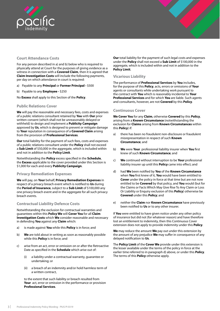<span id="page-5-0"></span>

# **Court Attendance Costs**

For any person described in a) and b) below who is required to physically attend at Court for the purposes of giving evidence as a witness in connection with a **Covered Claim**, then it is agreed that **Claim Investigation Costs** will include the following payments, per day on which attendance in court is required:

- a) Payable to any **Principal** or **Former Principal** \$500
- b) Payable to any **Employee** \$250

No **Excess** shall apply to this Section of the **Policy**.

# **Public Relations Cover**

**We** will pay the reasonable and necessary fees, costs and expenses of a public relations consultant retained by **You** with **Our** prior written consent (which shall not be unreasonably delayed or withheld) to design and implement a **Publicity Campaign** approved by **Us**, which is designed to prevent or mitigate damage to **Your** reputation in consequence of a **Covered Claim** arising from the provision of **Professional Services**.

**Our** total liability for the payment of such fees, costs and expenses of a public relations consultant under the **Policy** shall not exceed a **Sub Limit** of \$50,000 in the aggregate, which is included within and not in addition to the **Policy Limit**.

Notwithstanding the **Policy** excess specified in the **Schedule**, the **Excess** applicable to the cover provided under this Section is \$1,000 for each and every **Publicity Campaign**.

# **Privacy Remediation Expenses**

**We** will pay, on **Your** behalf, **Privacy Remediation Expenses** in respect of a privacy breach event which is notified to **Us** during the **Period of Insurance**, subject to a **Sub Limit** of \$100,000 any one privacy breach event and in the aggregate for all such privacy breach events.

# **Contractual Liability Defence Costs**

Notwithstanding the exclusion for contractual warranties and guarantees within this **Policy We** will **Cover You** for all **Claim Investigation Costs** which **We** consider reasonable and necessary in defending **You** against any **Claim** which:

- a) is made against **You** while this **Policy** is in force; and
- b) **We** are told about in writing as soon as reasonably possible while this **Policy** is in force; and
- c) arise from an act, error or omission on or after the Retroactive Date as specified in the **Schedule** which arise out of:
	- (i) a liability under a contractual warranty, guarantee or undertaking; or
	- (ii) a breach of an indemnity and/or hold harmless term of a written contract,

to the extent that such liability or breach resulted from **Your** act, error or omission in the performance or provision **Professional Services**.

**Our** total liability for the payment of such legal costs and expenses under the **Policy** shall not exceed a **Sub Limit** of \$100,000 in the aggregate, which is included within and not in addition to the **Policy Limit**.

# **Vicarious Liability**

The performance of **Professional Services** by **You** includes, for the purpose of this **Policy**, acts, errors or omissions of **Your** agents or consultants while undertaking work pursuant to the contract with **You** which is reasonably incidental to **Your Professional Services** and for which **You** are liable. Such agents and consultants, however, are not **Covered** by this **Policy**.

# **Continuous Cover**

**We Cover You** for any **Claim**, otherwise **Covered** by this **Policy**, arising from a **Known Circumstance** (notwithstanding the exclusion for **Claims** arising from **Known Circumstances** within this **Policy**) if:

- a) there has been no fraudulent non-disclosure or fraudulent misrepresentation in respect of such **Known Circumstance**; and
- b) **We** were **Your** professional liability insurer when **You** first knew of such **Known Circumstance**; and
- c) **We** continued without interruption to be **Your** professional liability insurer up until this **Policy** came into effect; and
- d) had **We** been notified by **You** of the **Known Circumstance**  when **You** first knew of it, **You** would have been entitled to **Cover** under the policy in force at that time but are not now entitled to be **Covered** by that policy, and **You** would (but for the Claims or Facts Which May Give Rise To Any Claim or Loss Or Liability or Enquiry exclusion of this **Policy**) otherwise be **Covered** under this **Policy**; and
- e) neither the **Claim** nor **Known Circumstance** have previously been notified to **Us** or to any other insurer.

If **You** were entitled to have given notice under any other policy of insurance but did not (for whatever reason) and have therefore lost an entitlement to indemnity, then this Continuous Cover extension does not apply to provide indemnity under this **Policy**.

**We** may reduce the amount **We** pay out under this extension by the amount of any prejudice **We** may suffer in consequence of any delayed notification to **Us**.

The **Policy Limit** of the **Cover We** provide under this extension is the lesser available under the terms of the policy in force at the earlier time referred to in paragraph d) above, or under this **Policy**. The terms of this **Policy** otherwise apply.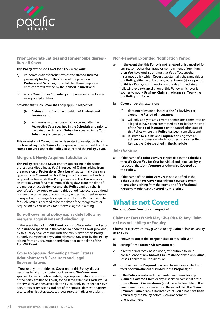<span id="page-6-0"></span>

# **Prior Corporate Entities and Former Subsidiaries - Run-off Cover**

This **Policy** extends to **Cover** (as if they were **You**):

- a) corporate entities through which the **Named Insured**  previously traded, in the course of the provision of **Professional Services**, provided that those corporate entities are still owned by the **Named Insured**; and
- b) any of **Your** former **Subsidiary** companies or other former incorporated entities,

provided that such **Cover** shall only apply in respect of:

- (i) **Claims** arising from the provision of **Professional Services**; and
- (ii) acts, errors or omissions which occurred after the Retroactive Date specified in the **Schedule** and prior to the date on which such **Subsidiary** ceased to be **Your Subsidiary** or ceased to trade.

This extension of **Cover**, however, is subject to receipt by **Us**, at the time of any such **Claim**, of an express written request from the **Named Insured** under the **Policy** to so extend the **Policy Cover**.

# **Mergers & Newly Acquired Subsidiaries**

This **Policy** extends to **Cover** entities (practicing in the same professional discipline as **You**) in respect of **Claims** arising from the provision of **Professional Services** of substantially the same type as those **Covered** by this **Policy**, which are merged with or acquired by **You** while this **Policy** is in force. This **Cover** is only an interim **Cover** for a maximum of thirty days from the date of the merger or acquisition (or until the **Policy** expires if that is sooner). **We** may agree to extend this period (subject to additional premium) after receipt of a satisfactory underwriting submission in respect of the merged or acquired entity. The Retroactive Date for such **Cover** is deemed to be the date of the merger with or acquisition by **You** unless **We** otherwise agree in writing.

**Run-off cover until policy expiry date following mergers**, **acquisitions and winding up**

In the event that a **Run-Off Event** occurs to **You** during the **Period of Insurance** specified in the **Schedule**, then the **Cover** provided by this **Policy** shall continue until the expiry date of this **Policy**  but only in respect of any **Claim** otherwise **Covered** by this **Policy**  arising from any act, error or omission prior to the date of the **Run-Off Event**.

**Cover to Spouse**, **domestic partner**, **Estates**, **Administrators & Executors and Legal Representatives**

If **You**, or anyone entitled to **Cover** under this **Policy**, dies or becomes legally incompetent or insolvent, **We Cover Your** spouse, domestic partner, estate, legal representative or assigns, or the party entitled to **Cover**, to the same extent as **Cover** would otherwise have been available to **You**, but only in respect of **Your** acts, errors or omissions and not of the spouse, domestic partner, estate, administrator, executor, legal representatives or assigns.

# **Non-Renewal Extended Notification Period**

- a) In the event that this **Policy** is not renewed or is cancelled for any reason, other than fraud or non-payment of premium, then **You** have until such time that **You** effect another insurance policy which **Covers** substantially the same risk as this **Policy**, either with **Us** or any other insurer(s), or a period of thirty (30) days commencing on the day immediately following expiry/cancellation of this **Policy**, whichever is sooner, to notify **Us** of any **Claims** made against **You** while this **Policy** is in force.
- b) **Cover** under this extension:
	- (i) does not reinstate or increase the **Policy Limit** or extend the **Period of Insurance**;
	- (ii) will only apply to acts, errors or omissions committed or alleged to have been committed by **You** before the end of the **Period of Insurance** or the cancellation date of this **Policy** where this **Policy** has been cancelled; and
	- (iii) is limited to **Claims** and **Enquiries** arising from an act, error or omission which occurred on or after the Retroactive Date specified in the **Schedule**.

# **Joint Venture**

- a) If the name of a **Joint Venture** is specified in the **Schedule**, then **We Cover You** for **Your** individual and joint liability in respect of that **Joint Venture** as otherwise **Covered** by this **Policy**.
- b) If the name of the **Joint Venture** is not specified in the **Schedule** then **We Cover You** only for **Your** acts, errors or omissions arising from the provision of **Professional Services** as otherwise **Covered** by this **Policy**.

# **What is not Covered**

**We** do not **Cover You** for or in respect of:

**Claims or Facts Which May Give Rise To Any Claim or Loss or Liability or Enquiry**

**Claims**, or facts which may give rise to any **Claim** or loss or liability or **Enquiry**:

- a) known to **You** at the inception date of this **Policy**; or
- b) arising from a **Known Circumstance**; or
- c) directly or indirectly based upon, attributable to, or in consequence of any **Known Circumstance** or known **Claims**, losses, liabilities or **Enquiries**; or
- d) disclosed in the **Proposal** or arising from or associated with facts or circumstances disclosed in the **Proposal**; or
- e) if the **Policy** is endorsed or amended mid term, for any **Claim** or **Covered Claim** or any associated costs that arose from a **Known Circumstance** (as at the effective date of the amendment or endorsement) to the extent that the **Claim** or **Covered Claim** or any associated costs would not have been **Covered** by the **Policy** before such amendment or endorsement.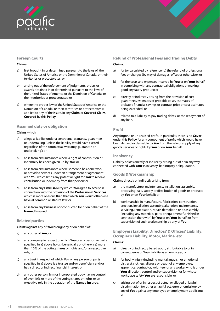<span id="page-7-0"></span>

# **Foreign Courts**

#### **Claims**:

- a) first brought in or determined pursuant to the laws of, the United States of America or the Dominion of Canada, or their territories or protectorates; or
- b) arising out of the enforcement of judgments, orders or awards obtained in or determined pursuant to the laws of the United States of America or the Dominion of Canada, or their territories or protectorates; or
- c) where the proper law of the United States of America or the Dominion of Canada, or their territories or protectorates is applied to any of the issues in any **Claim** or **Covered Claim**, **Covered** by this **Policy**.

# **Assumed duty or obligation**

### **Claims** which:

- a) allege a liability under a contractual warranty, guarantee or undertaking (unless the liability would have existed regardless of the contractual warranty, guarantee or undertaking); or
- b) arise from circumstances where a right of contribution or indemnity has been given up by **You**; or
- c) arise from circumstances where someone has done work or provided services under an arrangement or agreement with **You** which limits any potential right for **You** to receive contribution or indemnity from that person; or
- d) arise from any **Civil Liability** which **You** agree to accept in connection with the provision of the **Professional Services** which is more onerous than that which **You** would otherwise have at common or statute law; or
- e) arise from any business not conducted for or on behalf of the **Named Insured**.

# **Related parties**

**Claims** against any of **You** brought by or on behalf of:

- a) any other of **You**; or
- b) any company in respect of which **You** or any person or party specified in a) above holds (beneficially or otherwise) more than 10% of the voting shares or rights and/or an executive role; or
- c) any trust in respect of which **You** or any person or party specified in a) above is a trustee and/or beneficiary and/or has a direct or indirect financial interest; or
- d) any other person, firm or incorporated body having control of over 10% or more of the voting shares or rights or an executive role in the operation of the **Named Insured**.

# **Refund of Professional Fees and Trading Debts**

### **Claims**:

- a) for (or calculated by reference to) the refund of professional fees or charges (by way of damages, offset or otherwise); or
- b) for the costs and expenses incurred by **You** or on **Your** behalf in complying with any contractual obligations or making good any faulty product; or
- c) directly or indirectly arising from the provision of cost guarantees, estimates of probable costs, estimates of probable financial savings or contract price or cost estimates being exceeded; or
- d) related to a liability to pay trading debts, or the repayment of any loan.

# **Profit**

Any forgone or un-realised profit. In particular, there is no **Cover**  under this **Policy** for any component of profit which would have been derived or derivable by **You** from the sale or supply of any goods, services or rights by **You** or on **Your** behalf.

## **Insolvency**

Liability or loss directly or indirectly arising out of or in any way connected with **Your** insolvency, bankruptcy or liquidation.

# **Goods & Workmanship**

#### **Claims** directly or indirectly arising from:

- a) the manufacture, maintenance, installation, assembly, processing, sale, supply or distribution of goods or products by **You** or on **Your** behalf; or
- b) workmanship in manufacture, fabrication, construction, erection, installation, assembly, alteration, maintenance, servicing, remediation, repair, demolition or disassembly (including any materials, parts or equipment furnished in connection therewith) by **You** or on **Your** behalf; or from supervision of such workmanship by any of **You**.

# **Employers Liability**, **Directors' & Officers' Liability**, **Occupier's Liability**, **Motor**, **Marine**, **etc**

# **Claims**:

- a) directly or indirectly based upon, attributable to or in consequence of **Your** liability as an employer; or
- b) for bodily injury (including mental anguish or emotional distress), sickness, disease or death of any employee, apprentice, contractor, volunteer or any worker who is under **Your** direction, control and/or supervision or for whose workplace safety **You** are responsible; or
- c) arising out of or in respect of actual or alleged unlawful discrimination (or other unlawful act, error or omission) by any of **You** against any employee or employment applicant; or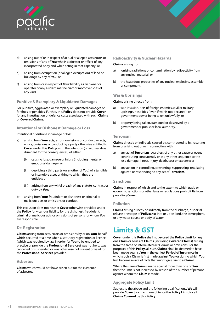<span id="page-8-0"></span>

- d) arising out of or in respect of actual or alleged acts errors or omissions of any of **You** who is a director or officer of any incorporated body and while acting in that capacity; or
- e) arising from occupation (or alleged occupation) of land or buildings by any of **You**; or
- f) arising from or in respect of **Your** liability as an owner or operator of any aircraft, marine craft or motor vehicles of any kind.

### **Punitive & Exemplary & Liquidated Damages**

For punitive, aggravated or exemplary or liquidated damages or for fines or penalties. Further, this **Policy** does not provide **Cover**  for any investigation or defence costs associated with such **Claims**  or **Covered Claims**.

#### **Intentional or Dishonest Damage or Loss**

Intentional or dishonest damage or loss:

- a) arising from **Your** acts, errors, omissions or conduct, or acts, errors, omissions or conduct by a party otherwise entitled to **Cover** under this **Policy**, with the intention (or with reckless disregard for the consequences) of either:
	- (i) causing loss, damage or injury (including mental or emotional damage); or
	- (ii) depriving a third party (or another of **You**) of a tangible or intangible asset or thing to which they are entitled; or
	- (iii) arising from any wilful breach of any statute, contract or duty by **You**;
- b) arising from **Your** fraudulent or dishonest or criminal or malicious acts or omissions or conduct.

This exclusion does not restrict **Cover** otherwise provided under the **Policy** for vicarious liability for the dishonest, fraudulent, criminal or malicious acts or omissions of persons for whom **You** are responsible.

# **De-Registration**

**Claims** arising from acts, errors or omissions by or on **Your** behalf which occurred at a time when a statutory registration or licence (which was required by law in order for **You** to be entitled to practice or provide the **Professional Services**) was not held, was cancelled or suspended or was otherwise not current or valid for the **Professional Services** provided.

#### **Asbestos**

**Claims** which would not have arisen but for the existence of asbestos.

#### **Radioactivity & Nuclear Hazards**

#### **Claims** arising from:

- a) ionising radiations or contamination by radioactivity from any nuclear material; or
- b) the hazardous properties of any nuclear explosive, assembly or component.

#### **War & Uprisings**

**Claims** arising directly from:

- a) war, invasion, acts of foreign enemies, civil or military uprisings, hostilities (even if war is not declared), or government power being taken unlawfully; or
- b) property being taken, damaged or destroyed by a government or public or local authority.

#### **Terrorism**

**Claims** directly or indirectly caused by, contributed to by, resulting from or arising out of or in connection with:

- a) any act of **Terrorism** regardless of any other cause or event contributing concurrently or in any other sequence to the loss, damage, illness, injury, death, cost or expense; or
- b) any action in controlling, preventing, suppressing, retaliating against, or responding to any act of **Terrorism**.

#### **Sanctions**

**Claims** in respect of which and to the extent to which trade or economic sanctions or other laws or regulations prohibit **Us** from providing **Cover**.

#### **Pollution**

**Claims** arising directly or indirectly from the discharge, dispersal, release or escape of **Pollutants** into or upon land, the atmosphere, or any water course or body of water.

# **Limits & GST**

**Cover** under this **Policy** shall not exceed the **Policy Limit** for any one **Claim** or series of **Claims** (including **Covered Claims**) arising from the same or interrelated acts, errors or omissions. For the purposes of this **Policy**, all such **Claims** shall be deemed to have been made against **You** in the earliest **Period of Insurance** in which such a **Claim** is first made against **You** (or during which **You** first become aware of facts that might give rise to a **Claim**).

Where the same **Claim** is made against more than one of **You** then the limit is not increased by reason of the number of persons against whom the **Claim** is made.

# **Aggregate Policy Limit**

Subject to the above and the following qualifications, **We** will provide **Cover** to a maximum of twice the **Policy Limit** for all **Claims Covered** by this **Policy**.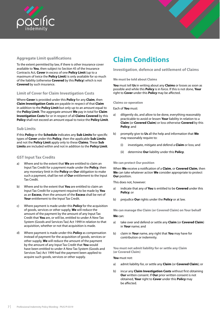<span id="page-9-0"></span>



# **Aggregate Limit qualifications**

To the extent permitted by law, if there is other insurance cover available to **You**, then subject to Section 45 of the Insurance Contracts Act, **Cover** in excess of one **Policy Limit** (up to a maximum of twice the **Policy Limit**) is only available for so much of the liability (otherwise **Covered** by this **Policy**) which is not **Covered** by such insurance.

# **Limit of Cover for Claim Investigation Costs**

Where **Cover** is provided under this **Policy** for any **Claim**, then **Claim Investigation Costs** are payable in respect of that **Claim**  in addition to the **Policy Limit** but only up to an amount equal to the **Policy Limit**. The aggregate amount **We** pay in total for **Claim Investigation Costs** for or in respect of all **Claims Covered** by this **Policy** shall not exceed an amount equal to twice the **Policy Limit**.

### **Sub Limits**

If this **Policy** or the **Schedule** indicates any **Sub Limits** for specific types of **Cover** under this **Policy**, then the applicable **Sub Limits**  and not the **Policy Limit** apply only to these **Claims**. These **Sub Limits** are included within and not in addition to the **Policy Limit**.

# **GST Input Tax Credits**

- a) Where and to the extent that **We** are entitled to claim an Input Tax Credit for a payment made under the **Policy**, then any monetary limit in the **Policy** on **Our** obligation to make such a payment, shall be net of **Our** entitlement to the Input Tax Credit.
- b) Where and to the extent that **You** are entitled to claim an Input Tax Credit for a payment required to be made by **You**  as an **Excess**, then the amount of the **Excess** shall be net of **Your** entitlement to the Input Tax Credit.
- c) Where payment is made under this **Policy** for the acquisition of goods, services or other supply, **We** will reduce the amount of the payment by the amount of any Input Tax Credit that **You** are, or will be, entitled to under A New Tax System (Goods and Services Tax) Act 1999 in relation to that acquisition, whether or not that acquisition is made.
- d) Where payment is made under this **Policy** as compensation instead of payment for the acquisition of goods, services or other supply, **We** will reduce the amount of the payment by the amount of any Input Tax Credit that **You** would have been entitled to under A New Tax System (Goods and Services Tax) Act 1999 had the payment been applied to acquire such goods, services or other supply.

# **Claim Conditions**

# **Investigation**, **defence and settlement of Claims**

#### **We must be told about Claims**

**You** must tell **Us** in writing about any **Claims** or losses as soon as possible and while this **Policy** is in force. If this is not done, **Your**  right to **Cover** under this **Policy** may be affected.

#### **Claims co-operation**

Each of **You** must:

- a) diligently do, and allow to be done, everything reasonably practicable to avoid or lessen **Your** liability in relation to a **Claim** (or **Covered Claim**) or loss otherwise **Covered** by this **Policy**; and
- b) promptly give to **Us** all the help and information that **We**  may reasonably require to:
	- (i) investigate, mitigate and defend a **Claim** or loss; and
	- (ii) determine **Our** liability under this **Policy**.

#### **We can protect Our position**

When **We** receive a notification of a **Claim**, or **Covered Claim**, then **We** can take whatever action **We** consider appropriate to protect **Our** position.

This does not, however:

- a) indicate that any of **You** is entitled to be **Covered** under this **Policy**; or
- b) prejudice **Our** rights under the **Policy** or at law.

**We can manage the Claim (or Covered Claim) on Your behalf**

#### **We** can:

- a) take over and defend or settle any **Claim** (or **Covered Claim**) in **Your** name; and
- b) claim in **Your** name, any right that **You** may have for contribution or indemnity.

**You must not admit liability for or settle any Claim (or Covered Claim)**

#### **You** must not:

- a) admit liability for, or settle any **Claim** (or **Covered Claim**); or
- b) incur any **Claim Investigation Costs** without first obtaining **Our** written consent. If **Our** prior written consent is not obtained, **Your** right to **Cover** under this **Policy** may be affected.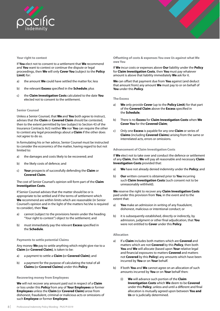

#### **Your right to contest**

If **You** elect not to consent to a settlement that **We** recommend and **You** want to contest or continue the dispute or legal proceedings, then **We** will only **Cover You** (subject to the **Policy Limit**) for:

- a) the amount **We** could have settled the matter for; less
- b) the relevant **Excess** specified in the **Schedule**; plus
- c) the **Claim Investigation Costs** calculated to the date **You**  elected not to consent to the settlement.

#### **Senior Counsel**

Unless a Senior Counsel, that **We** and **You** both agree to instruct, advises that the **Claim** or **Covered Claim** should be contested, then to the extent permitted by law (subject to Section 43 of the Insurance Contracts Act) neither **We** nor **You** can require the other to contest any legal proceedings about a **Claim** if the other does not agree to do so.

In formulating his or her advice, Senior Counsel must be instructed to consider the economics of the matter, having regard to but not limited to:

- a) the damages and costs likely to be recovered; and
- b) the likely costs of defence; and
- c) **Your** prospects of successfully defending the **Claim** or **Covered Claim**.

#### The cost of Senior Counsel's opinion will form part of the **Claim Investigation Costs**.

If Senior Counsel advises that the matter should be or is appropriate to be settled and if the terms of settlement which **We** recommend are within limits which are reasonable (in Senior Counsel's opinion and in the light of the matters he/she is required to consider), then **You**:

- a) cannot (subject to the provisions herein under the heading "Your right to contest") object to the settlement; and
- b) must immediately pay the relevant **Excess** specified in the **Schedule**.

#### **Payments to settle potential Claims**

Any money **We** pay to settle anything which might give rise to a **Claim (**or **Covered Claim)**, is taken to be:

- a) a payment to settle a **Claim (**or **Covered Claim)**; and
- b) a payment for the purpose of calculating the total of all **Claims (**or **Covered Claims)** under this **Policy**.

#### **Recovering money from Employees**

**We** will not recover any amount paid out in respect of a **Claim**  or loss under this **Policy** from any of **Your Employees** or former **Employees** unless the **Claim (**or **Covered Claim)** arose from dishonest, fraudulent, criminal or malicious acts or omissions of such **Employee** or former **Employee**.

**Offsetting of costs & expenses You owe Us against what We owe You**

If **We** incur costs or expenses above **Our** liability under the **Policy**  for **Claim Investigation Costs**, then **You** must pay whatever amount is above that liability immediately **We** ask for it.

**We** can offset that payment due from **You** against (and deduct that amount from) any amount **We** must pay to or on behalf of **You** under this **Policy**.

**The Excess**

- a) **We** only provide **Cover** (up to the **Policy Limit**) for that part of the **Covered Claim** above the **Excess** specified in the **Schedule**;
- b) There is no **Excess** for **Claim Investigation Costs** when **We Cover You** for the **Covered Claim**;
- c) Only one **Excess** is payable for any one **Claim** or series of **Claims** (including **Covered Claims**) arising from the same or interrelated acts, errors or omissions.

#### **Advancement of Claim Investigation Costs**

If **We** elect not to take over and conduct the defence or settlement of any **Claim**, then **We** will pay all reasonable and necessary **Claim Investigation Costs** provided that:

- a) **We** have not already denied indemnity under the **Policy**; and
- b) **Our** written consent is obtained prior to **You** incurring such **Claim Investigation Costs** (such consent not to be unreasonably withheld).

**We** reserve the right to recover any **Claim Investigation Costs**  paid under this provision from **You**, in the event and to the extent that:

- a) **You** make an admission in writing of any fraudulent, dishonest, malicious or intentional conduct; or
- b) it is subsequently established, directly or indirectly, by admission, judgment or other final adjudication, that **You**  were not entitled to **Cover** under this **Policy**.

#### **Allocation**

- a) If a **Claim** includes both matters which are **Covered** and matters which are not **Covered** by this **Policy**, then both **You** and **We** will allocate (based upon **Your** relative legal and financial exposures to matters **Covered** and matters not **Covered** by this **Policy**) any amounts which have been incurred by **You** or on **Your** behalf.
- b) If both **You** and **We** cannot agree on an allocation of such amounts incurred by **You** or on **Your** behalf then:
	- (i) **We** will advance such portion of the **Claim Investigation Costs** which **We** deem to be **Covered** under this **Policy**, unless and until a different and final allocation is mutually agreed upon between **You and Us** or is judicially determined.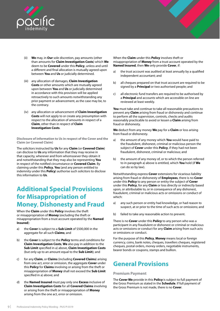<span id="page-11-0"></span>

- We may, in Our sole discretion, pay amounts (other than amounts for **Claim Investigation Costs**) which **We** deem to be **Covered** under this **Policy**, unless and until a different and final allocation is mutually agreed upon between **You** and **Us** or judicially determined.
- (iii) any allocation of damages, **Claim Investigation Costs** or other amounts which are mutually agreed upon between **You** and **Us** or judicially determined in accordance with this provision will be applied retroactively to such amounts notwithstanding any prior payment or advancement, as the case may be, to the contrary.
- (iv) any allocation or advancement of **Claim Investigation Costs** will not apply to or create any presumption with respect to the allocation of amounts in respect of a **Claim**, other than in respect of **Claim Investigation Costs**.

**Disclosure of information to Us in respect of the Cover and the Claim (or Covered Claim)**

The solicitors instructed by **Us** for any **Claim** (or **Covered Claim**) can disclose to **Us** any information that they may receive in that capacity, wherever and from whomsoever they obtain it and notwithstanding that they may also be representing **You** in respect of the notified circumstance or **Covered Claim**. By claiming under this **Policy**, **You** (and any person entitled to indemnity under this **Policy**) authorise such solicitors to disclose this information to **Us**.

# **Additional Special Provisions for Misappropriation of Money**, **Dishonesty and Fraud**

When the **Claim** under this **Policy** involves the theft or misappropriation of **Money** (excluding the theft or misappropriation from a trust account operated by the **Named Insured**):

- a) the **Cover** is subject to a **Sub Limit** of \$500,000 in the aggregate for all such **Claims**; and
- b) the **Cover** is subject to the **Policy** terms and conditions for **Claim Investigation Costs**, **We** also pay in addition to the **Sub Limit** specified in a) above, **Claim Investigation Costs**  (but only up to an amount equal to the **Sub Limit**); and
- c) for any **Claim**, or **Claims** (including **Covered Claims**) arising from one act, error or omission, the aggregate **Cover** under this **Policy** for **Claims** involving or arising from the theft or misappropriation of **Money** shall not exceed the **Sub Limit**  specified in a) above; and
- d) the **Named Insured** must pay only one **Excess** inclusive of **Claim Investigation Costs** for all **Covered Claims** involving or arising from the theft or misappropriation of **Money** arising from the one act, error or omission.

When the **Claim** under this **Policy** involves theft or misappropriation of **Money** from a trust account operated by the **Named Insured**, then **We** only provide **Cover**, if:

- a) the trust account was audited at least annually by a qualified independent accountant; and
- b) all cheques prepared on that trust account are required to be signed by a **Principal** or two authorised people; and
- c) all electronic fund transfers are required to be authorised by a **Principal** and accounts which are accessible on line are reviewed at least weekly.

**You** must take and continue to take all reasonable precautions to prevent any **Claim** arising from fraud or dishonesty and continue to perform all the supervision, controls, checks and audits reasonably practicable to avoid or lessen a **Claim** arising from fraud or dishonesty.

**We** deduct from any money **We** pay for a **Claim** or loss arising from fraud or dishonesty.

- a) the amount of any money which **You** would have paid to the fraudulent, dishonest, criminal or malicious person the subject of **Cover** under this **Policy**, if they had not been fraudulent, dishonest, criminal or malicious; and
- b) the amount of any money of, or to which the person referred to in paragraph a) above is entitled, which **You** hold (if **We**  can do so by law).

Notwithstanding express **Cover** extensions for vicarious liability arising from fraud or dishonesty of **Employees**, there is no **Cover**  under this **Policy** to any person or entity the subject of **Cover** under this **Policy**, for any **Claim** or loss directly or indirectly based upon, or attributable to, or in consequence of any dishonest, fraudulent, criminal or malicious acts or omissions or conduct of which:

- a) any such person or entity had knowledge, or had reason to suspect, at or prior to the time of such acts or omissions; and
- b) failed to take any reasonable action to prevent.

There is no **Cover** under this **Policy** to any person who was a participant in any fraudulent or dishonest or criminal or malicious acts or omissions or conduct for any **Claim** arising from such acts or omissions or conduct.

For the purpose of this **Policy**, **Money** means local or foreign currency, coins, bank notes, cheques, travellers cheques, registered cheques, postal orders, money orders, negotiable instruments, bearer bonds or coupons, stamps and bullion.

# **General Provisions**

# **Premium Payment**

The **Cover We** provide in this **Policy** is subject to full payment of the Gross Premium as stated in the **Schedule**. If full payment of the Gross Premium is not made, there is no **Cover**.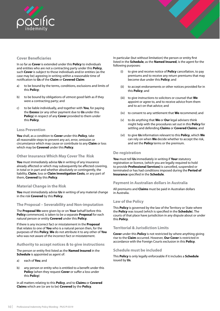<span id="page-12-0"></span>

# **Cover Beneficiaries**

In so far as **Cover** is extended under this **Policy** to individuals and entities who are not a contracting party under this **Policy**, such **Cover** is subject to those individuals and/or entities (as the case may be) agreeing in writing within a reasonable time of notification to **Us** of the **Claim** or **Covered Claim**:

- a) to be bound by the terms, conditions, exclusions and limits of this **Policy**;
- b) to be bound by obligations of utmost good faith as if they were a contracting party; and
- c) to be liable individually, and together with **You**, for paying the **Excess** (or any other payment due to **Us** under this **Policy**) in respect of any **Cover** provided to them under this **Policy**.

### **Loss Prevention**

**You** shall, as a condition to **Cover** under this **Policy**, take all reasonable steps to prevent any act, error, omission or circumstance which may cause or contribute to any **Claim** or loss which may be **Covered** under this **Policy**.

## **Other Insurance Which May Cover The Risk**

**You** must immediately advise **Us** in writing of any insurance already affected or which may subsequently be affected covering, in total or in part and whether absolutely or contingently, the liability, **Claim**, loss or **Claim Investigation Costs**, or any part of them, **Covered** by this **Policy**.

# **Material Change in the Risk**

**You** must immediately advise **Us** in writing of any material change in the risk **Covered** by this **Policy**.

# **The Proposal – Severability and Non-imputation**

The **Proposal We** were given by or on **Your** behalf before this **Policy** commenced, is taken to be a separate **Proposal** for each natural person or entity **Covered** under this **Policy**.

If there is any incorrect fact or misstatement in the **Proposal**  that relates to one of **You** who is a natural person then, for the purposes of this **Policy**, **We** do not attribute it to any other of **You** who was not aware of the incorrect fact or misstatement.

#### **Authority to accept notices & to give instructions**

The person or entity first listed as the **Named Insured** in the **Schedule** is appointed as agent of:

- a) each of **You**; and
- b) any person or entity who is entitled to a benefit under this **Policy** (when they request **Cover** or suffer a loss under this **Policy**)

in all matters relating to this **Policy**, and to **Claims** or **Covered Claims** which are (or are to be) **Covered** by the **Policy**.

In particular (but without limitation) the person or entity first listed in the **Schedule**, as the **Named Insured**, is the agent for the following purposes:

- (i) to give and receive notice of **Policy** cancellation, to pay premiums and to receive any return premiums that may become due under this **Policy**; and
- (ii) to accept endorsements or other notices provided for in this **Policy**; and
- (iii) to give instructions to solicitors or counsel that **We**  appoint or agree to, and to receive advice from them and to act on that advice; and
- (iv) to consent to any settlement that **We** recommend; and
- (v) to do anything that **We** or **Our** legal advisers think might help with the procedures set out in this **Policy** for settling and defending **Claims** or **Covered Claims**; and
- (vi) to give **Us** information relevant to this **Policy**, which **We**  can rely on when **We** decide whether to accept the risk, and set the **Policy** terms or the premium.

#### **De-registration**

**You** must tell **Us** immediately in writing if **Your** statutory registration or licence, (which you are legally required to hold to provide **Professional Services)** is cancelled, suspended or terminated or has had conditions imposed during the **Period of Insurance** specified in the **Schedule**.

# **Payment in Australian dollars in Australia**

All premiums and **Claims** must be paid in Australian dollars in Australia.

# **Law of the Policy**

This **Policy** is governed by the law of the Territory or State where the **Policy** was issued (which is specified in the **Schedule**). The courts of that place have jurisdiction in any dispute about or under this **Policy**.

#### **Territorial & Jurisdiction Limits**

**Cover** under this **Policy** is not restricted by where anything giving rise to the **Claim** occurred. However, **Our Cover** is restricted in accordance with the Foreign Courts exclusion in this **Policy**.

# **Schedule must be included**

This **Policy** is only legally enforceable if it includes a **Schedule** issued by **Us**.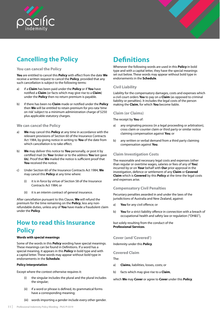<span id="page-13-0"></span>



# **Cancelling the Policy**

### **You can cancel the Policy**

**You** are entitled to cancel this **Policy** with effect from the date **We**  receive a written request to cancel the **Policy**, provided that any such cancellation is subject to the following terms:

- a) if a **Claim** has been paid under the **Policy** or if **You** have notified a **Claim** (or facts which may give rise to a **Claim**) under the **Policy** then no return premium is payable.
- b) if there has been no **Claim** made or notified under the **Policy** then **We** will be entitled to retain premium for pro-rata 'time on risk' subject to a minimum administration charge of \$250 plus applicable statutory charges.

# **We can cancel the Policy**

- a) **We** may cancel this **Policy** at any time in accordance with the relevant provisions of Section 60 of the Insurance Contracts Act 1984, by giving notice in writing to **You** of the date from which cancellation is to take effect.
- b) **We** may deliver this notice to **You** personally, or post it by certified mail (to **You**r broker or to the address **You** last gave **Us**). Proof that **We** mailed the notice is sufficient proof that **You** received the notice.
- c) Under Section 60 of the Insurance Contracts Act 1984, **We**  may cancel this **Policy** at any time where:
	- (i) it is in force by virtue of Section 58 of the Insurance Contracts Act 1984; or
	- (ii) it is an interim contract of general insurance.

After cancellation pursuant to this Clause, **We** will refund the premium for the time remaining on the **Policy**, less any nonrefundable duties, unless any of **You** have made a fraudulent claim under the **Policy**.

# **How to read this Insurance Policy**

### **Words with special meanings**

Some of the words in this **Policy** wording have special meanings. These meanings can be found in Definitions. If a word has a special meaning, it appears in this **Policy** in bold type and with a capital letter. These words may appear without bold type in endorsements in the **Schedule**.

#### **Policy Interpretation**

Except where the context otherwise requires it:

- (i) the singular includes the plural and the plural includes the singular;
- (ii) if a word or phrase is defined, its grammatical forms have a corresponding meaning;

# Liability for the compensatory damages, costs and expenses which

a civil court orders **You** to pay on a **Claim** (as opposed to criminal liability or penalties). It includes the legal costs of the person making the **Claim**, for which **You** become liable.

Whenever the following words are used in this **Policy** in bold type and with a capital letter, they have the special meanings set out below. These words may appear without bold type in

# **Claim (or Claims)**

**Civil Liability**

**Definitions**

endorsements in the **Schedule**.

The receipt by **You** of:

- a) any originating process (in a legal proceeding or arbitration), cross claim or counter claim or third party or similar notice claiming compensation against **You**; or
- b) any written or verbal demand from a third party claiming compensation against **You**.

# **Claim Investigation Costs**

The reasonable and necessary legal costs and expenses (other than regular or overtime wages, salaries or fees of any of **You**) incurred by or on **Your** behalf with **Our** prior approval in the investigation, defence or settlement of any **Claim** or **Covered Claim** which is **Covered** by this **Policy** at the time the legal costs and expenses arise.

# **Compensatory Civil Penalties**

Pecuniary penalties awarded in and under the laws of the jurisdictions of Australia and New Zealand, against:

- a) **You** for any civil offence; or
- b) **You** for a strict liability offence in connection with a breach of occupational health and safety law or regulation ("OH&S"),

but solely resulting from the conduct of the **Professional Services**.

# **Cover (and 'Covered')**

Indemnity under this **Policy**.

#### **Covered Claim**

The:

- a) **Claims**, liabilities, losses, costs; or
- b) facts which may give rise to a **Claim**,

which **We** may **Cover** or agree to **Cover** under this **Policy**.

(iii) words importing a gender include every other gender.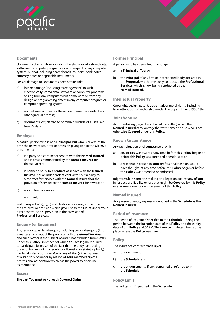<span id="page-14-0"></span>

# **Documents**

Documents of any nature including the electronically stored data, software or computer programs for or in respect of any computer system; but not including bearer bonds, coupons, bank notes, currency notes or negotiable instruments.

Loss or damage to Documents does not include:

- a) loss or damage (including rearrangement) to such electronically stored data, software or computer programs arising from any computer virus or malware or from any design or programming defect in any computer program or computer operating system;
- b) normal wear and tear or the action of insects or rodents or other gradual process;
- c) documents lost, damaged or mislaid outside of Australia or New Zealand.

### **Employee**

A natural person who is not a **Principal**, but who is or was, at the time the relevant act, error or omission giving rise to the **Claim**, a person who:

- a) is a party to a contract of service with the **Named Insured**  and is or was remunerated by the **Named Insured** for that service; or
- b) is neither a party to a contract of service with the **Named Insured**, nor an independent contractor, but a party to a contract for services with the **Named Insured** for the provision of services to the **Named Insured** for reward; or
- c) a volunteer worker, or
- d) a student,

and in respect of a), b), c) and d) above is (or was) at the time of the act, error or omission which gave rise to the **Claim** under **Your**  direct control and supervision in the provision of **Professional Services**.

# **Enquiry (or Enquiries)**

Any legal or quasi legal enquiry including coronial enquiry (into a matter arising out of the provision of **Professional Services** and such matter is the subject of and is not excluded from **Cover** under this **Policy**) in respect of which **You** are legally required to participate by reason of the fact that the body conducting the enquiry (including a regulatory, licensing or statutory body) has legal jurisdiction over **You** or any of **You** (either by reason of a statutory power or by reason of **Your** membership of a professional association which has the power to discipline its members).

#### **Excess**

The part **You** must pay of each **Covered Claim**.

# **Former Principal**

A person who has been, but is no longer:

- a) a **Principal** of **You**; or
- b) the **Principal** of any firm or incorporated body declared in the **Proposal**, which previously conducted the **Professional Services** which is now being conducted by the **Named Insured**.

### **Intellectual Property**

Copyright, design, patent, trade mark or moral rights, including false attribution of authorship (under the Copyright Act 1968 Cth).

### **Joint Venture**

An undertaking (regardless of what it is called) which the **Named Insured** carry on together with someone else who is not otherwise **Covered** under this **Policy**.

#### **Known Circumstance**

Any fact, situation or circumstance of which:

- a) any of **You** was aware at any time before this **Policy** began or before this **Policy** was amended or endorsed; or
- b) a reasonable person in **Your** professional position would have thought, at any time before this **Policy** began or before this **Policy** was amended or endorsed,

might result in someone making an allegation against any of **You**  in respect of a liability or loss that might be **Covered** by this **Policy**  or any amendment or endorsement of this **Policy**.

#### **Named Insured**

Any person or entity expressly identified in the **Schedule** as the **Named Insured**.

#### **Period of Insurance**

The 'Period of Insurance' specified in the **Schedule** – being the period between the inception date of this **Policy** and the expiry date of this **Policy** at 4.00 PM. The time being determined at the place where the **Policy** was issued.

#### **Policy**

The insurance contract made up of:

- a) this document;
- b) the **Schedule**; and
- c) the endorsements, if any, contained or referred to in the **Schedule**.

#### **Policy Limit**

The 'Policy Limit' specified in the **Schedule**.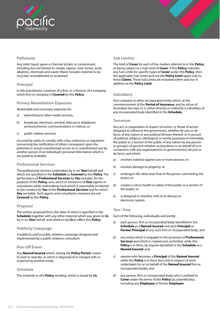<span id="page-15-0"></span>

# **Pollutants**

Any solid, liquid, gases or thermal irritant or contaminant, including but not limited to smoke, vapour, soot, fumes, acids, alkalines, chemicals and waste. Waste includes material to be recycled, reconditioned or reclaimed.

# **Principal**

A sole practitioner, a partner of a firm, or a director of a company, which firm or company is **Covered** by this **Policy**.

## **Privacy Remediation Expenses**

Reasonable and necessary expenses for:

- a) advertising or other media services;
- b) broadcast, electronic, printed, telecast or telephonic announcements, communications or notices; or
- c) public relation services,

incurred by solely to comply with a law, ordinance or regulation concerning the notification of others consequent upon the potential or actual unauthorised access to or unauthorised use by another person of an individual's personal information which is not publicly available.

#### **Professional Services**

The professional services undertaken by or on **Your** behalf and which are specified in the **Schedule** as **Covered** by this **Policy**. The performance of **Professional Services** by **You** includes, for the purpose of this **Policy**, acts, errors or omissions of **Your** agents or consultants while undertaking work which is reasonably incidental to the conduct by **You** of the **Professional Services** and for which **You** are liable. Such agents and consultants, however, are not **Covered** by this **Policy**.

#### **Proposal**

The written proposal form (the date of which is specified in the **Schedule**) together with any other material which was given to **Us** by or on **Your** behalf, and relied on by **Us** to effect this **Policy**.

# **Publicity Campaign**

A publicity and/or public relations campaign designed and implemented by a public relations consultant.

# **Run-Off Event**

Any **Named Insured** which, during the **Policy Period**, ceases to exist or operate, or which is disposed of or merged with or acquired by another entity.

# **Schedule**

The schedule to this **Policy** wording, which is issued by **Us**.

# **Sub Limit(s)**

The limit of **Cover** for each of the matters referred to in this **Policy**  as being subject to a Sub Limit of **Cover**. If this **Policy** indicates any Sub Limits for specific types of **Cover** under this **Policy**, then the applicable Sub Limits and not the **Policy Limit** apply only to these **Claims**. These Sub Limits are included within and not in addition to the **Policy Limit**.

# **Subsidiary**

Any company or other incorporated entity which, at the commencement of the **Period of Insurance**, and by virtue of Australian law was, or is, either directly or indirectly a subsidiary of any incorporated body identified in the **Schedule**.

### **Terrorism**

Any act, or preparation in respect of action, or threat of action designed to influence the government, whether de jure or de facto, of any nation or any political division thereof, or in pursuit of political, religious, ideological, or similar purposes to intimidate the public or a section of the public of any nation by any person or group(s) of persons whether acting alone or on behalf of or in connection with any organisation(s) or government(s) de jure or de facto, and which:

- a) involves violence against one or more persons; or
- b) involves damage to property; or
- c) endangers life other than that of the person committing the action; or
- d) creates a risk to health or safety of the public or a section of the public; or
- e) is designed to interfere with or to disrupt an electronic system.

#### **You / Your**

Each of the following, individually and jointly:

- a) each person, firm or incorporated body identified in the **Schedule** as a **Named Insured** and each **Principal** or **Former Principal** of any such firm or incorporated body; and
- b) any entity which is engaged in the provision of **Professional Services** and which is created and controlled, while this **Policy** is in force, by anyone identified in the **Schedule** as a **Named Insured**; and
- c) anyone who becomes a **Principal** of the **Named Insured**  while this **Policy** is in force (but only in respect of work undertaken for or on behalf of the **Named Insured** firm or incorporated body); and
- d) any person, firm or incorporated body who is entitled to **Cover** under the terms of this **Policy** (as a beneficiary), including any **Employee** or former **Employee**.